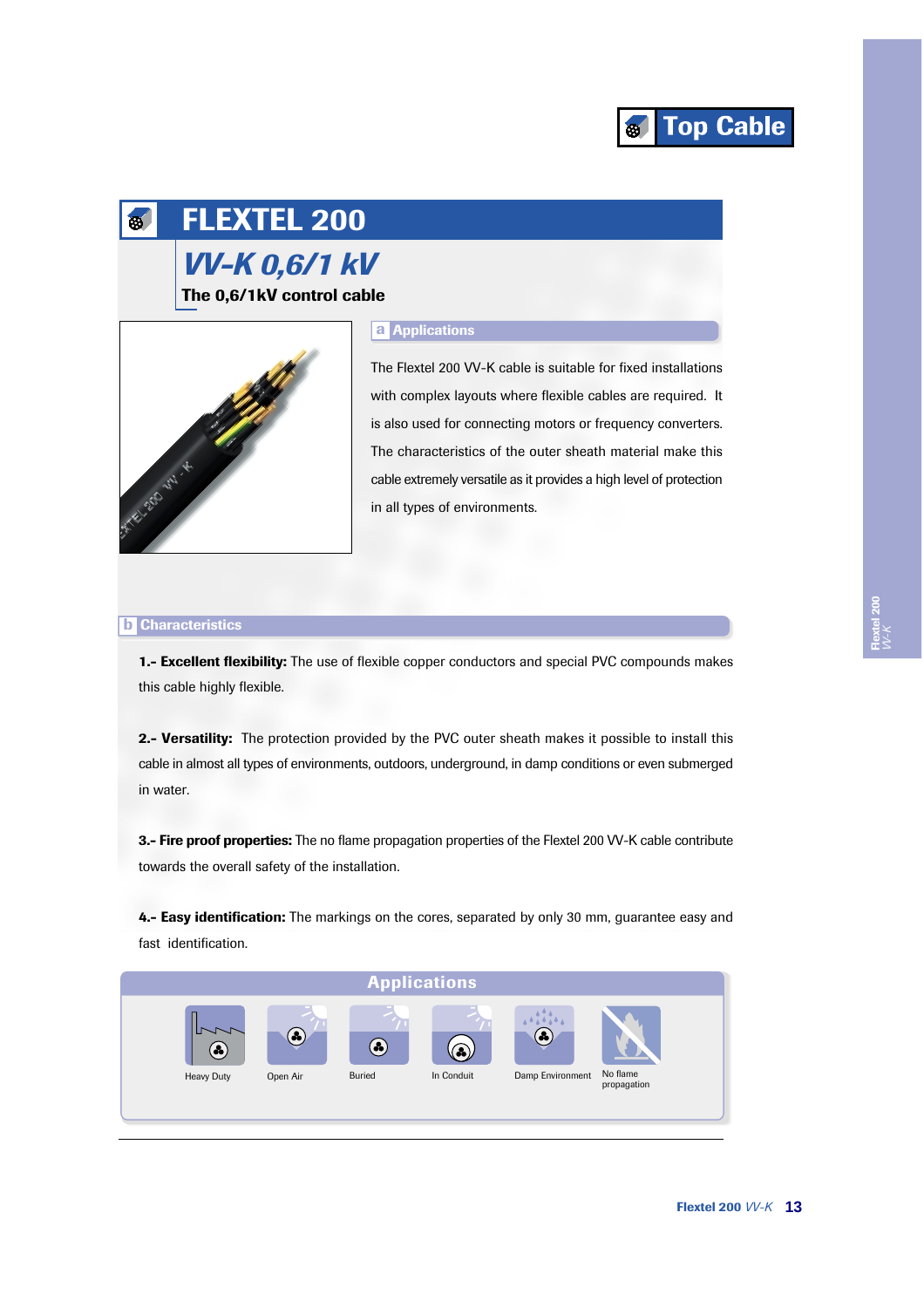

### **FLEXTEL 200** 65

# **VV-K 0,6/1 kV** The 0,6/1kV control cable



# **a** Applications

The Flextel 200 VV-K cable is suitable for fixed installations with complex layouts where flexible cables are required. It is also used for connecting motors or frequency converters. The characteristics of the outer sheath material make this cable extremely versatile as it provides a high level of protection in all types of environments.

### **b** Characteristics

1.- Excellent flexibility: The use of flexible copper conductors and special PVC compounds makes this cable highly flexible.

2.- Versatility: The protection provided by the PVC outer sheath makes it possible to install this cable in almost all types of environments, outdoors, underground, in damp conditions or even submerged in water.

3.- Fire proof properties: The no flame propagation properties of the Flextel 200 VV-K cable contribute towards the overall safety of the installation.

4.- Easy identification: The markings on the cores, separated by only 30 mm, guarantee easy and fast identification.

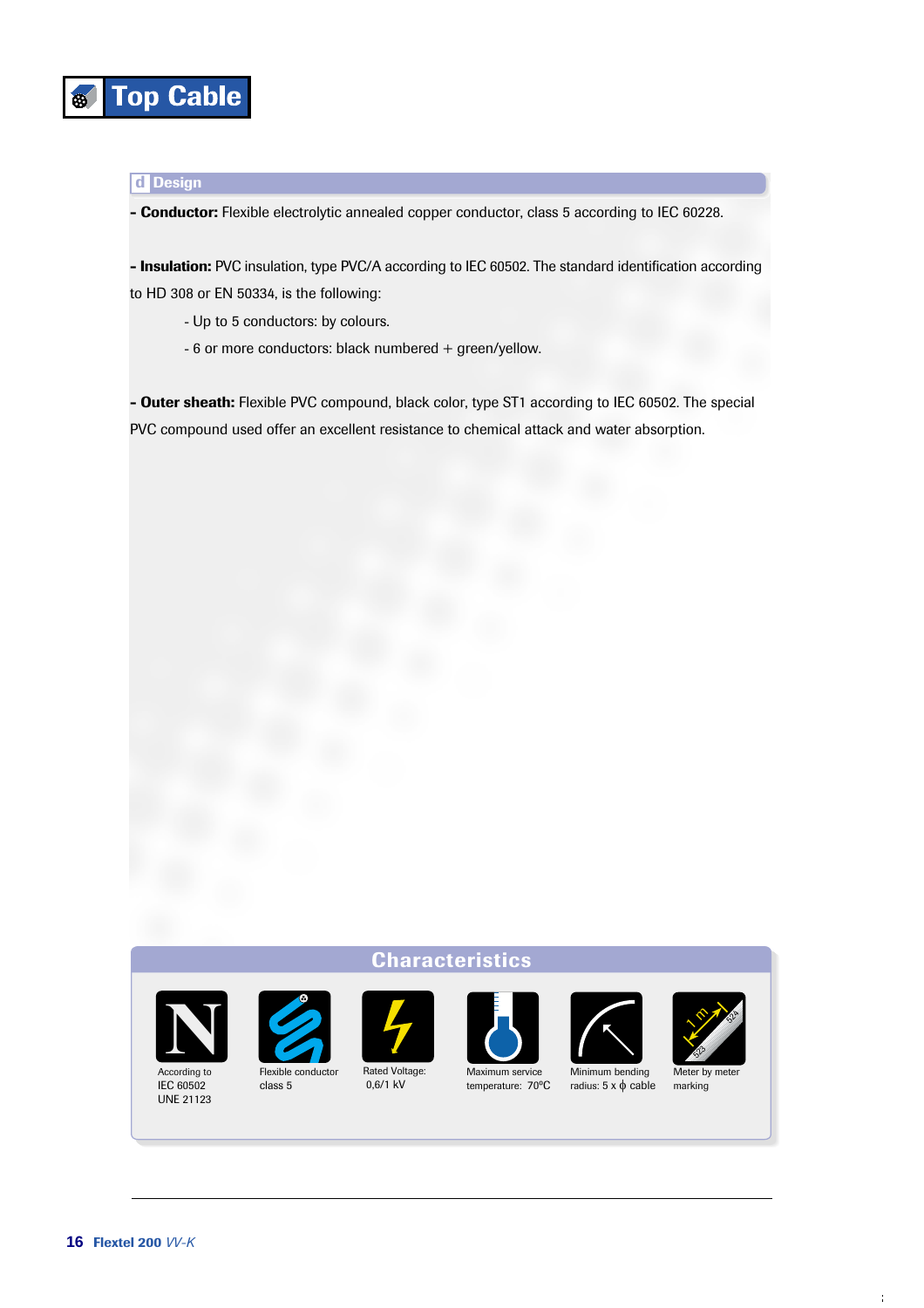

# **d** Design

- Conductor: Flexible electrolytic annealed copper conductor, class 5 according to IEC 60228.

- Insulation: PVC insulation, type PVC/A according to IEC 60502. The standard identification according to HD 308 or EN 50334, is the following:

- Up to 5 conductors: by colours.

- 6 or more conductors: black numbered + green/yellow.

- Outer sheath: Flexible PVC compound, black color, type ST1 according to IEC 60502. The special PVC compound used offer an excellent resistance to chemical attack and water absorption.

## **Characteristics**



According to IEC 60502 **UNE 21123** 



Rated Voltage:  $0.6/1$  kV



Maximum service temperature: 70°C





radius:  $5 \times \phi$  cable



Meter by mete marking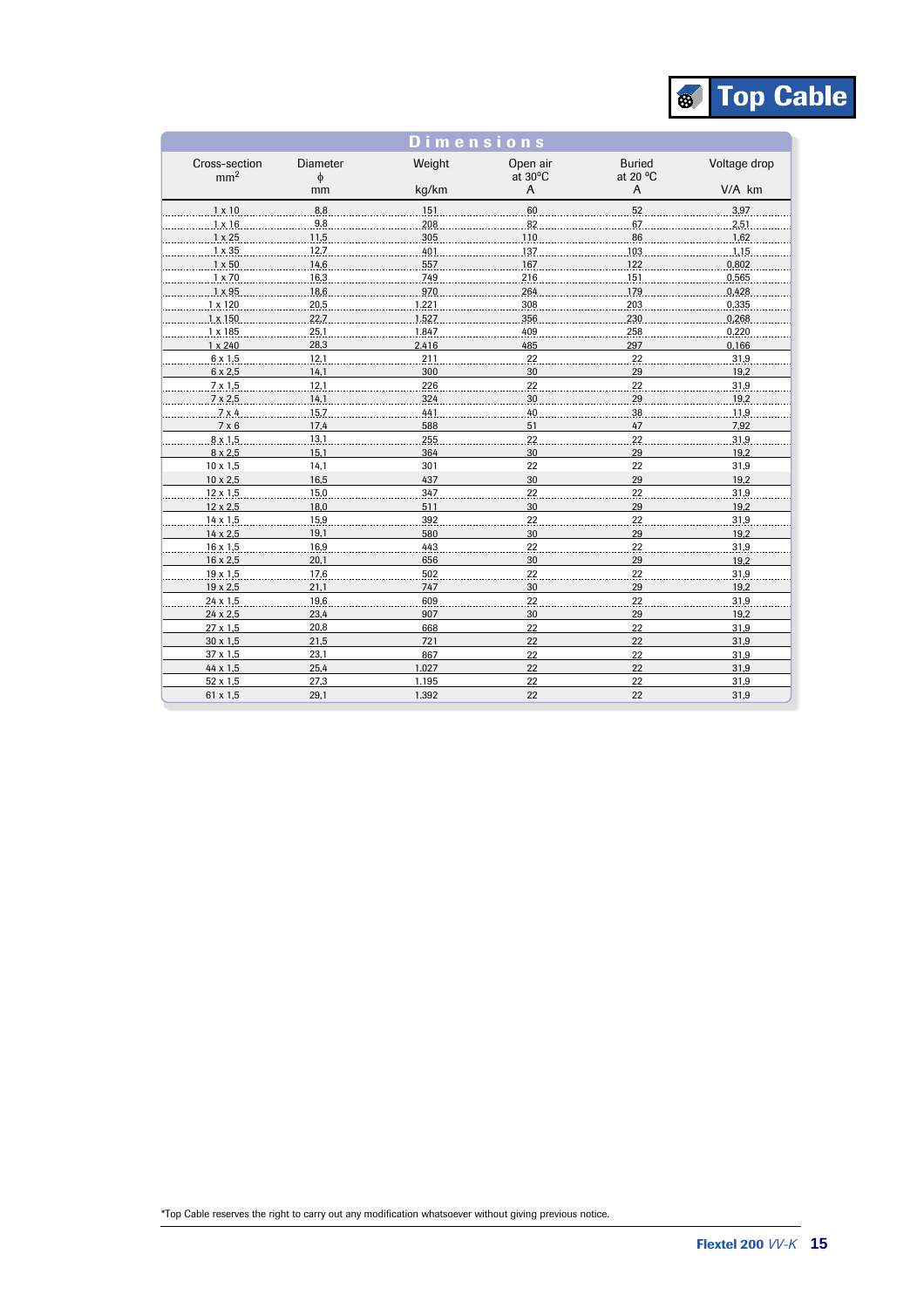

| Dimensions                       |                      |        |                     |                           |              |
|----------------------------------|----------------------|--------|---------------------|---------------------------|--------------|
| Cross-section<br>mm <sup>2</sup> | <b>Diameter</b><br>φ | Weight | Open air<br>at 30°C | <b>Buried</b><br>at 20 °C | Voltage drop |
|                                  | mm                   | kg/km  | $\overline{A}$      | $\overline{A}$            | $V/A$ $km$   |
| $1 \times 10$                    | 8,8                  | 151    | 60                  | 52                        | 3,97         |
| $1 \times 16$                    | 9,8                  | 208    | 82                  | 67                        | 2,51         |
| $1 \times 25$                    | 11,5                 | 305    | 110                 | 86                        | 1,62         |
| 1 x 35                           | 12,7                 | 401    | 137                 | 103                       | 1,15         |
| $1 \times 50$                    | 14,6                 | 557    | 167                 | 122                       | 0,802        |
| $1 \times 70$                    | 16,3                 | 749    | 216                 | 151                       | 0,565        |
| $1 \times 95$                    | 18,6                 | 970    | 264                 | 179                       | 0,428        |
| $1 \times 120$                   | 20,5                 | .221   | 308                 | 203                       | 0,335        |
| 1 x 150                          | 22,7                 | .527   | 356                 | 230                       | 0,268        |
| $1 \times 185$                   | 25.1                 | 1.847  | 409                 | 258                       | 0,220        |
| $1 \times 240$                   | 28,3                 | 2.416  | 485                 | 297                       | 0,166        |
| $6 \times 1,5$                   | 12,1                 | 211    | 22                  | 22                        | 31,9         |
| 6 x 2,5                          | 14,1                 | 300    | 30                  | 29                        | 19,2         |
| $7 \times 1.5$                   | 12,1                 | 226    | 22                  | 22                        | 31,9         |
| $7 \times 2,5$                   | 14,1                 | 324    | 30                  | 29                        | .19,2.       |
| 7x4                              | 15,7                 | 441    | 40                  | 38                        | 11,9         |
| 7 × 6                            | 17.4                 | 588    | 51                  | 47                        | 7,92         |
| $8 \times 1.5$                   | 13.1                 | 255    | 22                  | 22                        | 31,9         |
| $8 \times 2.5$                   | 15.1                 | 364    | 30                  | 29                        | 19.2         |
| $10 \times 1.5$                  | 14,1                 | 301    | 22                  | 22                        | 31,9         |
| 10 x 2,5                         | 16,5                 | 437    | 30                  | 29                        | 19,2         |
| $.12 \times .1.5$                | 15,0                 | 347    | 22                  | 22                        | 31,9         |
| $12 \times 2,5$                  | 18,0                 | 511    | 30                  | 29                        | 19,2         |
| $14 \times 1,5$                  | 15,9                 | 392    | 22                  | 22                        | 31,9         |
| 14 x 2,5                         | 19,1                 | 580    | 30                  | 29                        | 19,2         |
| $.16 \times .1.5$                | 16,9                 | 443    | 22                  | 22                        | 31,9         |
| 16 x 2,5                         | 20,1                 | 656    | 30                  | 29                        | 19,2         |
| 19 x 1,5                         | 17,6                 | 502    | 22                  | 22                        | 31,9         |
| 19 x 2,5                         | 21,1                 | 747    | 30                  | 29                        | 19,2         |
| $24 \times 1,5$                  | 19,6                 | 609    | 22                  | 22                        | 31,9         |
| 24 x 2,5                         | 23,4                 | 907    | 30                  | 29                        | 19,2         |
| 27 x 1,5                         | 20,8                 | 668    | 22                  | 22                        | 31,9         |
| $30 \times 1,5$                  | 21,5                 | 721    | 22                  | 22                        | 31,9         |
| 37 x 1,5                         | 23,1                 | 867    | 22                  | 22                        | 31,9         |
| $44 \times 1.5$                  | 25,4                 | 1.027  | 22                  | 22                        | 31,9         |
| $52 \times 1,5$                  | 27,3                 | 1.195  | 22                  | 22                        | 31,9         |
| 61 x 1,5                         | 29,1                 | 1.392  | 22                  | 22                        | 31,9         |

\*Top Cable reserves the right to carry out any modification whatsoever without giving previous notice.